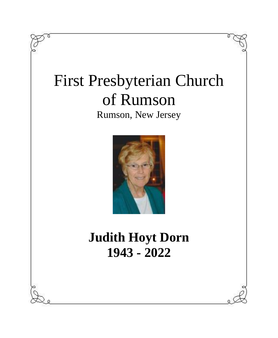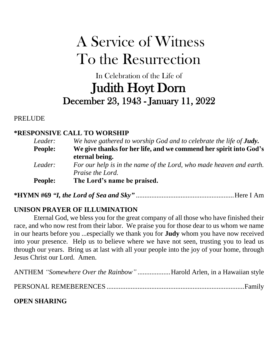# A Service of Witness To the Resurrection

# In Celebration of the Life of Judith Hoyt Dorn December 23, 1943 - January 11, 2022

PRELUDE

### **\*RESPONSIVE CALL TO WORSHIP**

| Leader:        | We have gathered to worship God and to celebrate the life of <b>Judy</b> .                     |
|----------------|------------------------------------------------------------------------------------------------|
| <b>People:</b> | We give thanks for her life, and we commend her spirit into God's<br>eternal being.            |
| Leader:        | For our help is in the name of the Lord, who made heaven and earth.<br><i>Praise the Lord.</i> |
| <b>People:</b> | The Lord's name be praised.                                                                    |

**\*HYMN #69** *"I, the Lord of Sea and Sky"* .........................................................Here I Am

## **UNISON PRAYER OF ILLUMINATION**

Eternal God, we bless you for the great company of all those who have finished their race, and who now rest from their labor. We praise you for those dear to us whom we name in our hearts before you ...especially we thank you for **Judy** whom you have now received into your presence. Help us to believe where we have not seen, trusting you to lead us through our years. Bring us at last with all your people into the joy of your home, through Jesus Christ our Lord. Amen.

| ANTHEM "Somewhere Over the Rainbow" Harold Arlen, in a Hawaiian style |  |
|-----------------------------------------------------------------------|--|
|                                                                       |  |
| <b>OPEN SHARING</b>                                                   |  |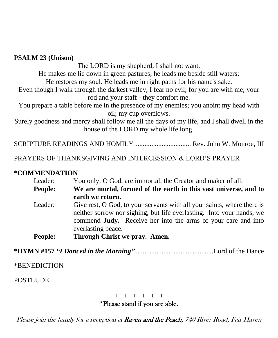#### **PSALM 23 (Unison)**

The LORD is my shepherd, I shall not want. He makes me lie down in green pastures; he leads me beside still waters;

He restores my soul. He leads me in right paths for his name's sake.

Even though I walk through the darkest valley, I fear no evil; for you are with me; your rod and your staff - they comfort me.

You prepare a table before me in the presence of my enemies; you anoint my head with oil; my cup overflows.

Surely goodness and mercy shall follow me all the days of my life, and I shall dwell in the house of the LORD my whole life long.

SCRIPTURE READINGS AND HOMILY................................. Rev. John W. Monroe, III

PRAYERS OF THANKSGIVING AND INTERCESSION & LORD'S PRAYER

#### **\*COMMENDATION**

| Leader:        | You only, O God, are immortal, the Creator and maker of all.            |  |  |
|----------------|-------------------------------------------------------------------------|--|--|
| <b>People:</b> | We are mortal, formed of the earth in this vast universe, and to        |  |  |
|                | earth we return.                                                        |  |  |
| Leader:        | Give rest, O God, to your servants with all your saints, where there is |  |  |
|                | neither sorrow nor sighing, but life everlasting. Into your hands, we   |  |  |
|                | commend <b>Judy.</b> Receive her into the arms of your care and into    |  |  |
|                | everlasting peace.                                                      |  |  |
| <b>People:</b> | Through Christ we pray. Amen.                                           |  |  |

**\*HYMN #157** *"I Danced in the Morning"* .............................................Lord of the Dance

\*BENEDICTION

POSTLUDE

#### + + + + + + \*Please stand if you are able.

Please join the family for a reception at Raven and the Peach, 740 River Road, Fair Haven